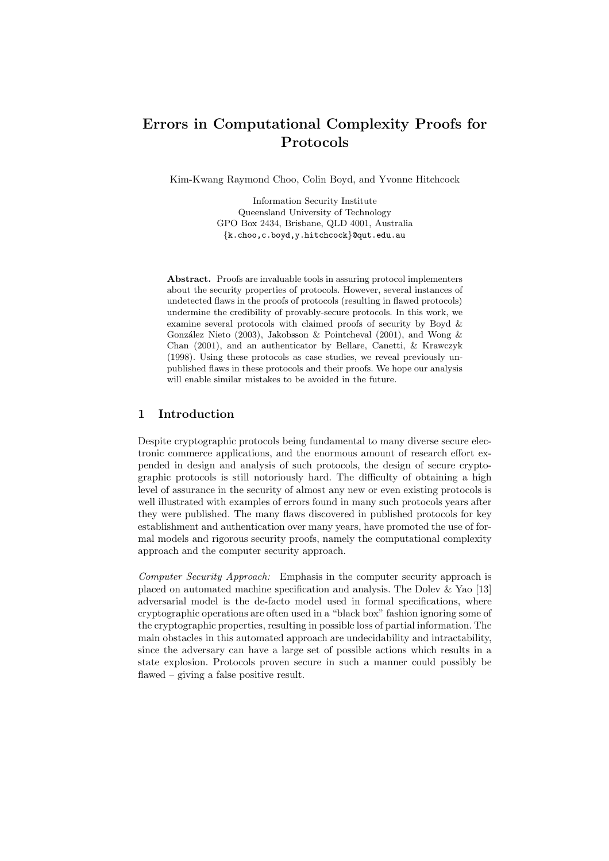# Errors in Computational Complexity Proofs for Protocols

Kim-Kwang Raymond Choo, Colin Boyd, and Yvonne Hitchcock

Information Security Institute Queensland University of Technology GPO Box 2434, Brisbane, QLD 4001, Australia {k.choo,c.boyd,y.hitchcock}@qut.edu.au

Abstract. Proofs are invaluable tools in assuring protocol implementers about the security properties of protocols. However, several instances of undetected flaws in the proofs of protocols (resulting in flawed protocols) undermine the credibility of provably-secure protocols. In this work, we examine several protocols with claimed proofs of security by Boyd & González Nieto (2003), Jakobsson & Pointcheval (2001), and Wong & Chan (2001), and an authenticator by Bellare, Canetti, & Krawczyk (1998). Using these protocols as case studies, we reveal previously unpublished flaws in these protocols and their proofs. We hope our analysis will enable similar mistakes to be avoided in the future.

# 1 Introduction

Despite cryptographic protocols being fundamental to many diverse secure electronic commerce applications, and the enormous amount of research effort expended in design and analysis of such protocols, the design of secure cryptographic protocols is still notoriously hard. The difficulty of obtaining a high level of assurance in the security of almost any new or even existing protocols is well illustrated with examples of errors found in many such protocols years after they were published. The many flaws discovered in published protocols for key establishment and authentication over many years, have promoted the use of formal models and rigorous security proofs, namely the computational complexity approach and the computer security approach.

Computer Security Approach: Emphasis in the computer security approach is placed on automated machine specification and analysis. The Dolev & Yao [13] adversarial model is the de-facto model used in formal specifications, where cryptographic operations are often used in a "black box" fashion ignoring some of the cryptographic properties, resulting in possible loss of partial information. The main obstacles in this automated approach are undecidability and intractability, since the adversary can have a large set of possible actions which results in a state explosion. Protocols proven secure in such a manner could possibly be flawed – giving a false positive result.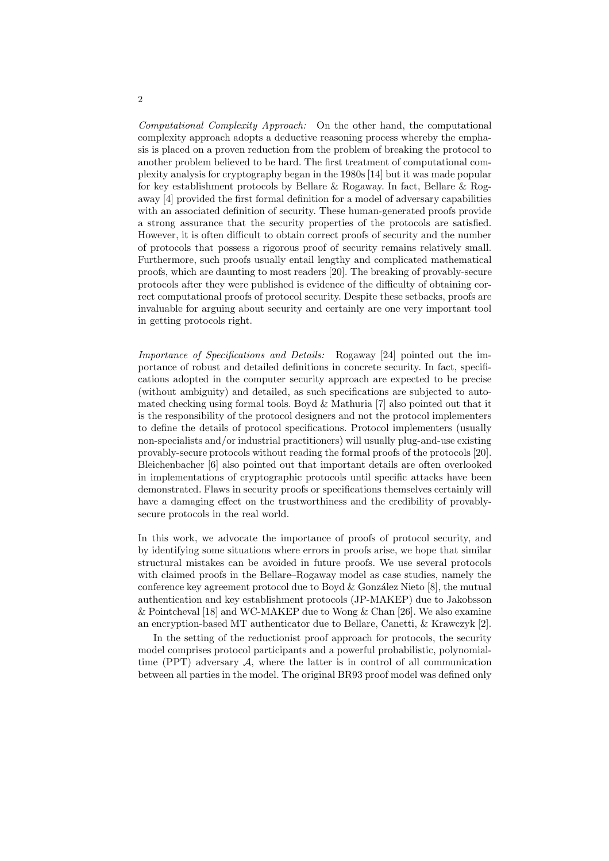Computational Complexity Approach: On the other hand, the computational complexity approach adopts a deductive reasoning process whereby the emphasis is placed on a proven reduction from the problem of breaking the protocol to another problem believed to be hard. The first treatment of computational complexity analysis for cryptography began in the 1980s [14] but it was made popular for key establishment protocols by Bellare & Rogaway. In fact, Bellare & Rogaway [4] provided the first formal definition for a model of adversary capabilities with an associated definition of security. These human-generated proofs provide a strong assurance that the security properties of the protocols are satisfied. However, it is often difficult to obtain correct proofs of security and the number of protocols that possess a rigorous proof of security remains relatively small. Furthermore, such proofs usually entail lengthy and complicated mathematical proofs, which are daunting to most readers [20]. The breaking of provably-secure protocols after they were published is evidence of the difficulty of obtaining correct computational proofs of protocol security. Despite these setbacks, proofs are invaluable for arguing about security and certainly are one very important tool in getting protocols right.

Importance of Specifications and Details: Rogaway [24] pointed out the importance of robust and detailed definitions in concrete security. In fact, specifications adopted in the computer security approach are expected to be precise (without ambiguity) and detailed, as such specifications are subjected to automated checking using formal tools. Boyd & Mathuria [7] also pointed out that it is the responsibility of the protocol designers and not the protocol implementers to define the details of protocol specifications. Protocol implementers (usually non-specialists and/or industrial practitioners) will usually plug-and-use existing provably-secure protocols without reading the formal proofs of the protocols [20]. Bleichenbacher [6] also pointed out that important details are often overlooked in implementations of cryptographic protocols until specific attacks have been demonstrated. Flaws in security proofs or specifications themselves certainly will have a damaging effect on the trustworthiness and the credibility of provablysecure protocols in the real world.

In this work, we advocate the importance of proofs of protocol security, and by identifying some situations where errors in proofs arise, we hope that similar structural mistakes can be avoided in future proofs. We use several protocols with claimed proofs in the Bellare–Rogaway model as case studies, namely the conference key agreement protocol due to Boyd  $\&$  González Nieto [8], the mutual authentication and key establishment protocols (JP-MAKEP) due to Jakobsson & Pointcheval [18] and WC-MAKEP due to Wong & Chan [26]. We also examine an encryption-based MT authenticator due to Bellare, Canetti, & Krawczyk [2].

In the setting of the reductionist proof approach for protocols, the security model comprises protocol participants and a powerful probabilistic, polynomialtime  $(PT)$  adversary A, where the latter is in control of all communication between all parties in the model. The original BR93 proof model was defined only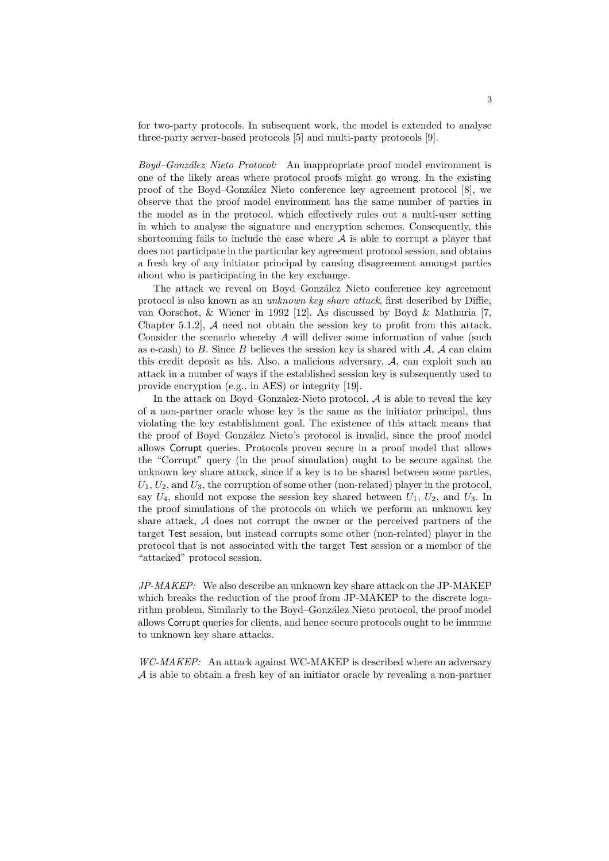for two-party protocols. In subsequent work, the model is extended to analyse three-party server-based protocols [5] and multi-party protocols [9].

 $Boyd-González Nieto Protocol:$  An inappropriate proof model environment is one of the likely areas where protocol proofs might go wrong. In the existing proof of the Boyd–González Nieto conference key agreement protocol [8], we observe that the proof model environment has the same number of parties in the model as in the protocol, which effectively rules out a multi-user setting in which to analyse the signature and encryption schemes. Consequently, this shortcoming fails to include the case where  $A$  is able to corrupt a player that does not participate in the particular key agreement protocol session, and obtains a fresh key of any initiator principal by causing disagreement amongst parties about who is participating in the key exchange.

The attack we reveal on Boyd–González Nieto conference key agreement protocol is also known as an unknown key share attack, first described by Diffie, van Oorschot, & Wiener in 1992 [12]. As discussed by Boyd & Mathuria [7, Chapter 5.1.2], A need not obtain the session key to profit from this attack. Consider the scenario whereby A will deliver some information of value (such as e-cash) to B. Since B believes the session key is shared with  $A$ ,  $A$  can claim this credit deposit as his. Also, a malicious adversary,  $A$ , can exploit such an attack in a number of ways if the established session key is subsequently used to provide encryption (e.g., in AES) or integrity [19].

In the attack on Boyd–Gonzalez-Nieto protocol, A is able to reveal the key of a non-partner oracle whose key is the same as the initiator principal, thus violating the key establishment goal. The existence of this attack means that the proof of Boyd–González Nieto's protocol is invalid, since the proof model allows Corrupt queries. Protocols proven secure in a proof model that allows the "Corrupt" query (in the proof simulation) ought to be secure against the unknown key share attack, since if a key is to be shared between some parties,  $U_1, U_2$ , and  $U_3$ , the corruption of some other (non-related) player in the protocol, say  $U_4$ , should not expose the session key shared between  $U_1$ ,  $U_2$ , and  $U_3$ . In the proof simulations of the protocols on which we perform an unknown key share attack,  $A$  does not corrupt the owner or the perceived partners of the target Test session, but instead corrupts some other (non-related) player in the protocol that is not associated with the target Test session or a member of the "attacked" protocol session.

JP-MAKEP: We also describe an unknown key share attack on the JP-MAKEP which breaks the reduction of the proof from JP-MAKEP to the discrete logarithm problem. Similarly to the Boyd–González Nieto protocol, the proof model allows Corrupt queries for clients, and hence secure protocols ought to be immune to unknown key share attacks.

WC-MAKEP: An attack against WC-MAKEP is described where an adversary A is able to obtain a fresh key of an initiator oracle by revealing a non-partner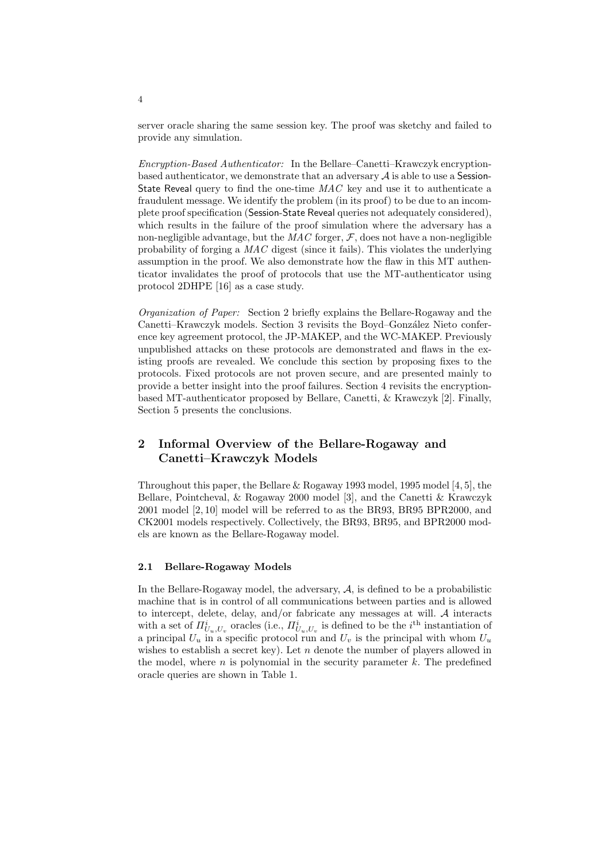server oracle sharing the same session key. The proof was sketchy and failed to provide any simulation.

Encryption-Based Authenticator: In the Bellare–Canetti–Krawczyk encryptionbased authenticator, we demonstrate that an adversary  $A$  is able to use a Session-State Reveal query to find the one-time  $MAC$  key and use it to authenticate a fraudulent message. We identify the problem (in its proof) to be due to an incomplete proof specification (Session-State Reveal queries not adequately considered), which results in the failure of the proof simulation where the adversary has a non-negligible advantage, but the  $MAC$  forger,  $F$ , does not have a non-negligible probability of forging a  $MAC$  digest (since it fails). This violates the underlying assumption in the proof. We also demonstrate how the flaw in this MT authenticator invalidates the proof of protocols that use the MT-authenticator using protocol 2DHPE [16] as a case study.

Organization of Paper: Section 2 briefly explains the Bellare-Rogaway and the Canetti–Krawczyk models. Section 3 revisits the Boyd–González Nieto conference key agreement protocol, the JP-MAKEP, and the WC-MAKEP. Previously unpublished attacks on these protocols are demonstrated and flaws in the existing proofs are revealed. We conclude this section by proposing fixes to the protocols. Fixed protocols are not proven secure, and are presented mainly to provide a better insight into the proof failures. Section 4 revisits the encryptionbased MT-authenticator proposed by Bellare, Canetti, & Krawczyk [2]. Finally, Section 5 presents the conclusions.

# 2 Informal Overview of the Bellare-Rogaway and Canetti–Krawczyk Models

Throughout this paper, the Bellare  $\&$  Rogaway 1993 model, 1995 model [4, 5], the Bellare, Pointcheval, & Rogaway 2000 model [3], and the Canetti & Krawczyk 2001 model [2, 10] model will be referred to as the BR93, BR95 BPR2000, and CK2001 models respectively. Collectively, the BR93, BR95, and BPR2000 models are known as the Bellare-Rogaway model.

#### 2.1 Bellare-Rogaway Models

In the Bellare-Rogaway model, the adversary,  $A$ , is defined to be a probabilistic machine that is in control of all communications between parties and is allowed to intercept, delete, delay, and/or fabricate any messages at will.  $A$  interacts with a set of  $\Pi_{U_u, U_v}^i$  oracles (i.e.,  $\Pi_{U_u, U_v}^i$  is defined to be the  $i^{\text{th}}$  instantiation of a principal  $U_u$  in a specific protocol run and  $U_v$  is the principal with whom  $U_u$ wishes to establish a secret key). Let  $n$  denote the number of players allowed in the model, where n is polynomial in the security parameter  $k$ . The predefined oracle queries are shown in Table 1.

4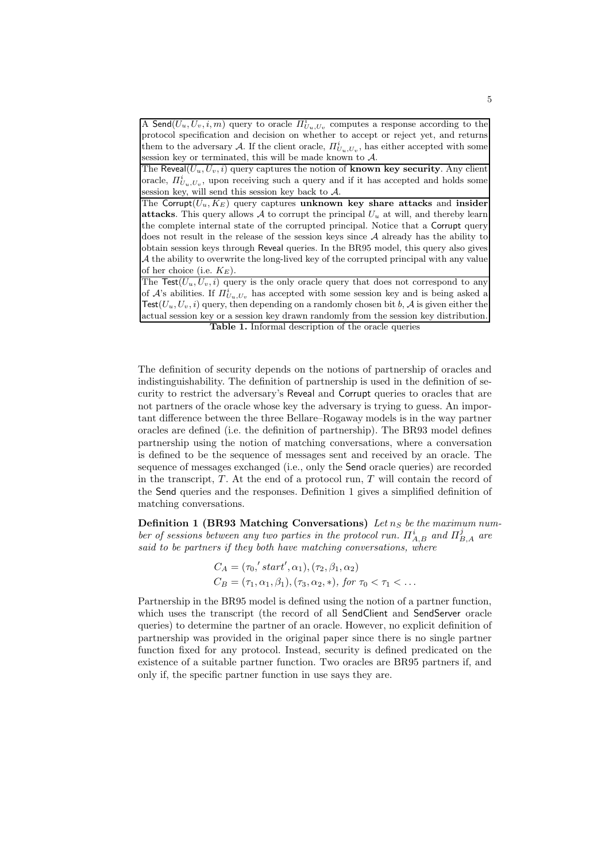A Send $(U_u, U_v, i, m)$  query to oracle  $\varPi_{U_u, U_v}^i$  computes a response according to the protocol specification and decision on whether to accept or reject yet, and returns them to the adversary A. If the client oracle,  $\prod_{u}^{i} U_u$ , has either accepted with some session key or terminated, this will be made known to A.

The Reveal $(U_u, U_v, i)$  query captures the notion of known key security. Any client oracle,  $\prod_{u}^{i} U_{u}, U_{v}$ , upon receiving such a query and if it has accepted and holds some session key, will send this session key back to  $A$ .

The Corrupt( $U_u, K_E$ ) query captures unknown key share attacks and insider attacks. This query allows  $A$  to corrupt the principal  $U_u$  at will, and thereby learn the complete internal state of the corrupted principal. Notice that a Corrupt query does not result in the release of the session keys since  $A$  already has the ability to obtain session keys through Reveal queries. In the BR95 model, this query also gives  $A$  the ability to overwrite the long-lived key of the corrupted principal with any value of her choice (i.e.  $K_E$ ).

The  $Test(U_u, U_v, i)$  query is the only oracle query that does not correspond to any of  $\mathcal{A}$ 's abilities. If  $\Pi_{U_u,U_v}^i$  has accepted with some session key and is being asked a Test $(U_u, U_v, i)$  query, then depending on a randomly chosen bit b, A is given either the actual session key or a session key drawn randomly from the session key distribution.

Table 1. Informal description of the oracle queries

The definition of security depends on the notions of partnership of oracles and indistinguishability. The definition of partnership is used in the definition of security to restrict the adversary's Reveal and Corrupt queries to oracles that are not partners of the oracle whose key the adversary is trying to guess. An important difference between the three Bellare–Rogaway models is in the way partner oracles are defined (i.e. the definition of partnership). The BR93 model defines partnership using the notion of matching conversations, where a conversation is defined to be the sequence of messages sent and received by an oracle. The sequence of messages exchanged (i.e., only the Send oracle queries) are recorded in the transcript,  $T$ . At the end of a protocol run,  $T$  will contain the record of the Send queries and the responses. Definition 1 gives a simplified definition of matching conversations.

**Definition 1 (BR93 Matching Conversations)** Let  $n_S$  be the maximum number of sessions between any two parties in the protocol run.  $\prod_{A,B}^i$  and  $\prod_{B,A}^j$  are said to be partners if they both have matching conversations, where

$$
C_A = (\tau_0, 'start', \alpha_1), (\tau_2, \beta_1, \alpha_2)
$$
  
\n
$$
C_B = (\tau_1, \alpha_1, \beta_1), (\tau_3, \alpha_2, *), \text{ for } \tau_0 < \tau_1 < \dots
$$

Partnership in the BR95 model is defined using the notion of a partner function, which uses the transcript (the record of all SendClient and SendServer oracle queries) to determine the partner of an oracle. However, no explicit definition of partnership was provided in the original paper since there is no single partner function fixed for any protocol. Instead, security is defined predicated on the existence of a suitable partner function. Two oracles are BR95 partners if, and only if, the specific partner function in use says they are.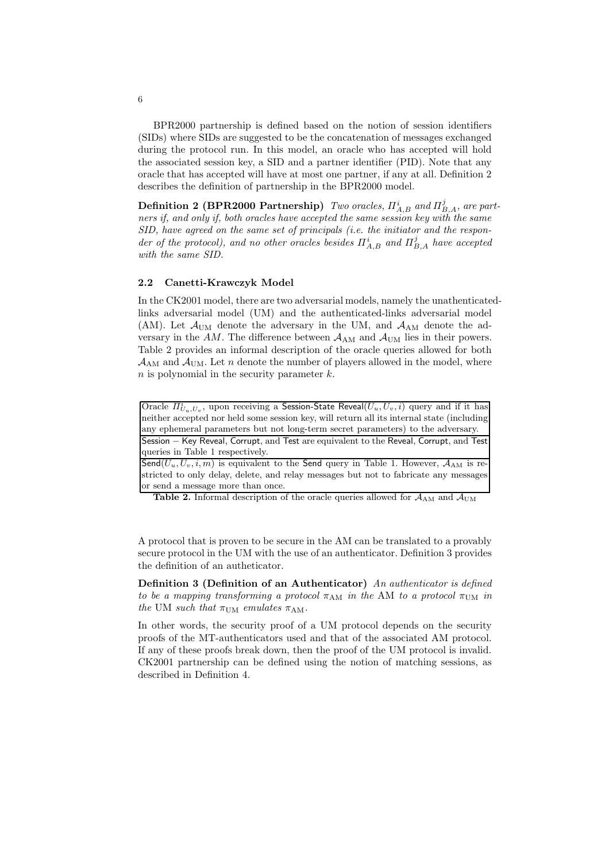BPR2000 partnership is defined based on the notion of session identifiers (SIDs) where SIDs are suggested to be the concatenation of messages exchanged during the protocol run. In this model, an oracle who has accepted will hold the associated session key, a SID and a partner identifier (PID). Note that any oracle that has accepted will have at most one partner, if any at all. Definition 2 describes the definition of partnership in the BPR2000 model.

Definition 2 (BPR2000 Partnership) Two oracles,  $\Pi_{A,B}^{i}$  and  $\Pi_{B,A}^{j}$ , are partners if, and only if, both oracles have accepted the same session key with the same SID, have agreed on the same set of principals (i.e. the initiator and the responder of the protocol), and no other oracles besides  $\Pi_{A,B}^{i}$  and  $\Pi_{B,A}^{j}$  have accepted with the same SID.

#### 2.2 Canetti-Krawczyk Model

In the CK2001 model, there are two adversarial models, namely the unathenticatedlinks adversarial model (UM) and the authenticated-links adversarial model (AM). Let  $\mathcal{A}_{\text{UM}}$  denote the adversary in the UM, and  $\mathcal{A}_{\text{AM}}$  denote the adversary in the AM. The difference between  $A_{AM}$  and  $A_{UM}$  lies in their powers. Table 2 provides an informal description of the oracle queries allowed for both  $A_{AM}$  and  $A_{UM}$ . Let n denote the number of players allowed in the model, where  $n$  is polynomial in the security parameter  $k$ .

Oracle  $\varPi^i_{U_u,U_v},$  upon receiving a Session-State Reveal $(U_u,U_v,i)$  query and if it has neither accepted nor held some session key, will return all its internal state (including any ephemeral parameters but not long-term secret parameters) to the adversary. Session − Key Reveal, Corrupt, and Test are equivalent to the Reveal, Corrupt, and Test queries in Table 1 respectively.

Send( $U_u, U_v, i, m$ ) is equivalent to the Send query in Table 1. However,  $\mathcal{A}_{AM}$  is restricted to only delay, delete, and relay messages but not to fabricate any messages or send a message more than once.

Table 2. Informal description of the oracle queries allowed for  $A_{AM}$  and  $A_{UM}$ 

A protocol that is proven to be secure in the AM can be translated to a provably secure protocol in the UM with the use of an authenticator. Definition 3 provides the definition of an autheticator.

Definition 3 (Definition of an Authenticator) An authenticator is defined to be a mapping transforming a protocol  $\pi_{AM}$  in the AM to a protocol  $\pi_{UM}$  in the UM such that  $\pi_{\text{UM}}$  emulates  $\pi_{\text{AM}}$ .

In other words, the security proof of a UM protocol depends on the security proofs of the MT-authenticators used and that of the associated AM protocol. If any of these proofs break down, then the proof of the UM protocol is invalid. CK2001 partnership can be defined using the notion of matching sessions, as described in Definition 4.

6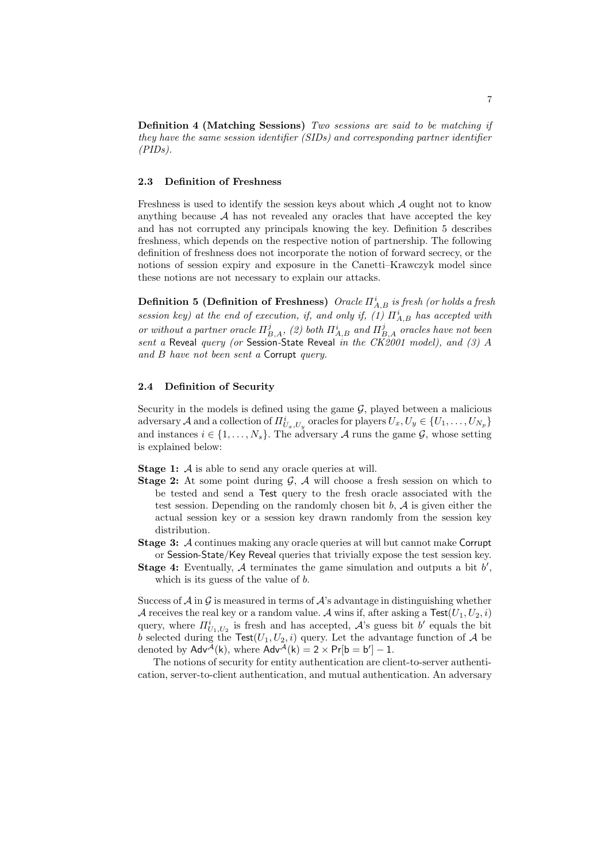Definition 4 (Matching Sessions) Two sessions are said to be matching if they have the same session identifier (SIDs) and corresponding partner identifier (PIDs).

#### 2.3 Definition of Freshness

Freshness is used to identify the session keys about which  $A$  ought not to know anything because  $A$  has not revealed any oracles that have accepted the key and has not corrupted any principals knowing the key. Definition 5 describes freshness, which depends on the respective notion of partnership. The following definition of freshness does not incorporate the notion of forward secrecy, or the notions of session expiry and exposure in the Canetti–Krawczyk model since these notions are not necessary to explain our attacks.

**Definition 5 (Definition of Freshness)** Oracle  $\Pi_{A,B}^i$  is fresh (or holds a fresh session key) at the end of execution, if, and only if, (1)  $\Pi_{A,B}^{i}$  has accepted with or without a partner oracle  $\Pi_{B,A}^j$ , (2) both  $\Pi_{A,B}^i$  and  $\Pi_{B,A}^j$  oracles have not been sent a Reveal query (or Session-State Reveal in the  $CK2001$  model), and (3) A and B have not been sent a Corrupt query.

#### 2.4 Definition of Security

Security in the models is defined using the game  $G$ , played between a malicious adversary  $\mathcal A$  and a collection of  $\Pi^i_{U_x,U_y}$  oracles for players  $U_x,U_y\in\{U_1,\ldots,U_{N_p}\}$ and instances  $i \in \{1, \ldots, N_s\}$ . The adversary A runs the game G, whose setting is explained below:

Stage 1: A is able to send any oracle queries at will.

- **Stage 2:** At some point during  $\mathcal{G}, \mathcal{A}$  will choose a fresh session on which to be tested and send a Test query to the fresh oracle associated with the test session. Depending on the randomly chosen bit  $b$ ,  $A$  is given either the actual session key or a session key drawn randomly from the session key distribution.
- Stage 3: A continues making any oracle queries at will but cannot make Corrupt or Session-State/Key Reveal queries that trivially expose the test session key.
- **Stage 4:** Eventually,  $\tilde{A}$  terminates the game simulation and outputs a bit  $b'$ , which is its guess of the value of b.

Success of  $\mathcal A$  in  $\mathcal G$  is measured in terms of  $\mathcal A$ 's advantage in distinguishing whether A receives the real key or a random value. A wins if, after asking a  $\textsf{Test}(U_1,U_2,i)$ query, where  $\Pi_{U_1,U_2}^i$  is fresh and has accepted,  $\mathcal{A}$ 's guess bit  $b'$  equals the bit b selected during the  $\textsf{Test}(U_1,U_2,i)$  query. Let the advantage function of A be denoted by  $\mathsf{Adv}^{\mathcal{A}}(k)$ , where  $\mathsf{Adv}^{\mathcal{A}}(k) = 2 \times \mathsf{Pr}[b = b'] - 1$ .

The notions of security for entity authentication are client-to-server authentication, server-to-client authentication, and mutual authentication. An adversary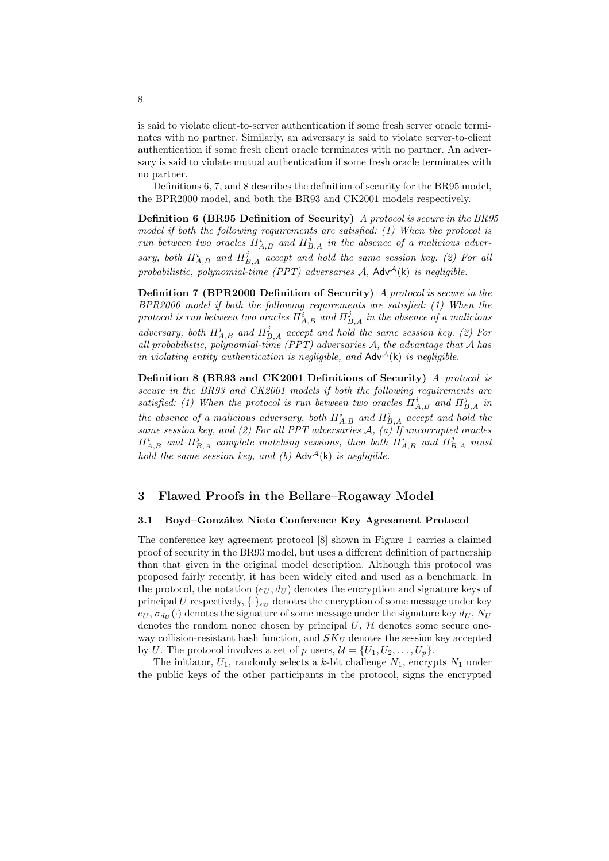is said to violate client-to-server authentication if some fresh server oracle terminates with no partner. Similarly, an adversary is said to violate server-to-client authentication if some fresh client oracle terminates with no partner. An adversary is said to violate mutual authentication if some fresh oracle terminates with no partner.

Definitions 6, 7, and 8 describes the definition of security for the BR95 model, the BPR2000 model, and both the BR93 and CK2001 models respectively.

Definition 6 (BR95 Definition of Security) A protocol is secure in the BR95 model if both the following requirements are satisfied: (1) When the protocol is run between two oracles  $\Pi_{A,B}^i$  and  $\Pi_{B,A}^j$  in the absence of a malicious adversary, both  $\prod_{A,B}^i$  and  $\prod_{B,A}^j$  accept and hold the same session key. (2) For all probabilistic, polynomial-time (PPT) adversaries A,  $Adv^{\mathcal{A}}(k)$  is negligible.

Definition 7 (BPR2000 Definition of Security) A protocol is secure in the BPR2000 model if both the following requirements are satisfied: (1) When the protocol is run between two oracles  $\Pi_{A,B}^i$  and  $\Pi_{B,A}^j$  in the absence of a malicious adversary, both  $\prod_{A,B}^i$  and  $\prod_{B,A}^j$  accept and hold the same session key. (2) For all probabilistic, polynomial-time (PPT) adversaries A, the advantage that A has in violating entity authentication is negligible, and  $\mathsf{Adv}^{\mathcal{A}}(k)$  is negligible.

Definition 8 (BR93 and CK2001 Definitions of Security) A protocol is secure in the BR93 and CK2001 models if both the following requirements are satisfied: (1) When the protocol is run between two oracles  $\Pi_{A,B}^{i}$  and  $\Pi_{B,A}^{j}$  in the absence of a malicious adversary, both  $\prod_{A,B}^i$  and  $\prod_{B,A}^j$  accept and hold the same session key, and (2) For all PPT adversaries  $A$ , (a) If uncorrupted oracles  $\Pi_{A,B}^{i}$  and  $\Pi_{B,A}^{j}$  complete matching sessions, then both  $\overline{\Pi}_{A,B}^{i}$  and  $\Pi_{B,A}^{j}$  must hold the same session key, and (b)  $\mathsf{Adv}^{\mathcal{A}}(k)$  is negligible.

# 3 Flawed Proofs in the Bellare–Rogaway Model

#### 3.1 Boyd–González Nieto Conference Key Agreement Protocol

The conference key agreement protocol [8] shown in Figure 1 carries a claimed proof of security in the BR93 model, but uses a different definition of partnership than that given in the original model description. Although this protocol was proposed fairly recently, it has been widely cited and used as a benchmark. In the protocol, the notation  $(e_U, d_U)$  denotes the encryption and signature keys of principal U respectively,  $\{\cdot\}_{e_U}$  denotes the encryption of some message under key  $e_U, \sigma_{d_U}(\cdot)$  denotes the signature of some message under the signature key  $d_U, N_U$ denotes the random nonce chosen by principal  $U, H$  denotes some secure oneway collision-resistant hash function, and  $SK_U$  denotes the session key accepted by U. The protocol involves a set of p users,  $\mathcal{U} = \{U_1, U_2, \ldots, U_p\}.$ 

The initiator,  $U_1$ , randomly selects a k-bit challenge  $N_1$ , encrypts  $N_1$  under the public keys of the other participants in the protocol, signs the encrypted

8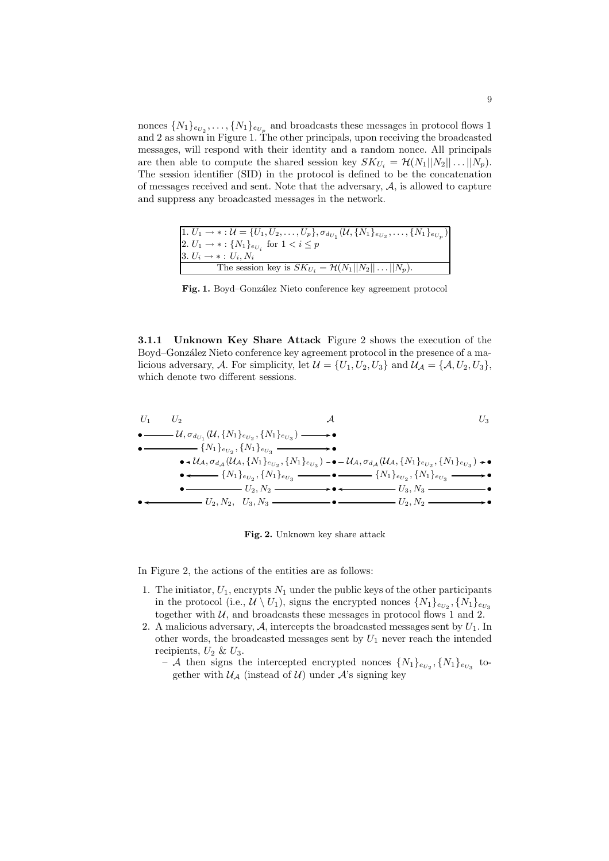nonces  $\{N_1\}_{e_{U_2}}, \ldots, \{N_1\}_{e_{U_p}}$  and broadcasts these messages in protocol flows 1 and 2 as shown in Figure 1. The other principals, upon receiving the broadcasted messages, will respond with their identity and a random nonce. All principals are then able to compute the shared session key  $SK_{U_i} = \mathcal{H}(N_1||N_2||...||N_p)$ . The session identifier (SID) in the protocol is defined to be the concatenation of messages received and sent. Note that the adversary,  $A$ , is allowed to capture and suppress any broadcasted messages in the network.

| 1. $U_1 \rightarrow * : \mathcal{U} = \{U_1, U_2, \ldots, U_p\}, \sigma_{d_{U_1}}(\mathcal{U}, \{N_1\}_{e_{U_2}}, \ldots, \{N_1\}_{e_{U_n}})$ |  |
|-----------------------------------------------------------------------------------------------------------------------------------------------|--|
| 2. $U_1 \to * : \{N_1\}_{e_{U_i}}$ for $1 < i \leq p$                                                                                         |  |
| 3. $U_i \rightarrow * : U_i, N_i$                                                                                                             |  |
| The session key is $SK_{U_i} = \mathcal{H}(N_1  N_2    N_p)$ .                                                                                |  |

Fig. 1. Boyd–González Nieto conference key agreement protocol

3.1.1 Unknown Key Share Attack Figure 2 shows the execution of the Boyd–González Nieto conference key agreement protocol in the presence of a malicious adversary, A. For simplicity, let  $\mathcal{U} = \{U_1, U_2, U_3\}$  and  $\mathcal{U}_{\mathcal{A}} = \{\mathcal{A}, U_2, U_3\},\$ which denote two different sessions.



Fig. 2. Unknown key share attack

In Figure 2, the actions of the entities are as follows:

- 1. The initiator,  $U_1$ , encrypts  $N_1$  under the public keys of the other participants in the protocol (i.e.,  $\mathcal{U} \setminus U_1$ ), signs the encrypted nonces  $\{N_1\}_{e_{U_2}}, \{N_1\}_{e_{U_3}}$ together with  $U$ , and broadcasts these messages in protocol flows 1 and 2.
- 2. A malicious adversary,  $A$ , intercepts the broadcasted messages sent by  $U_1$ . In other words, the broadcasted messages sent by  $U_1$  never reach the intended recipients,  $U_2 \& U_3$ .

 $-$  A then signs the intercepted encrypted nonces  $\{N_1\}_{e_{U_2}}, \{N_1\}_{e_{U_3}}$  together with  $\mathcal{U}_{\mathcal{A}}$  (instead of  $\mathcal{U}$ ) under  $\mathcal{A}$ 's signing key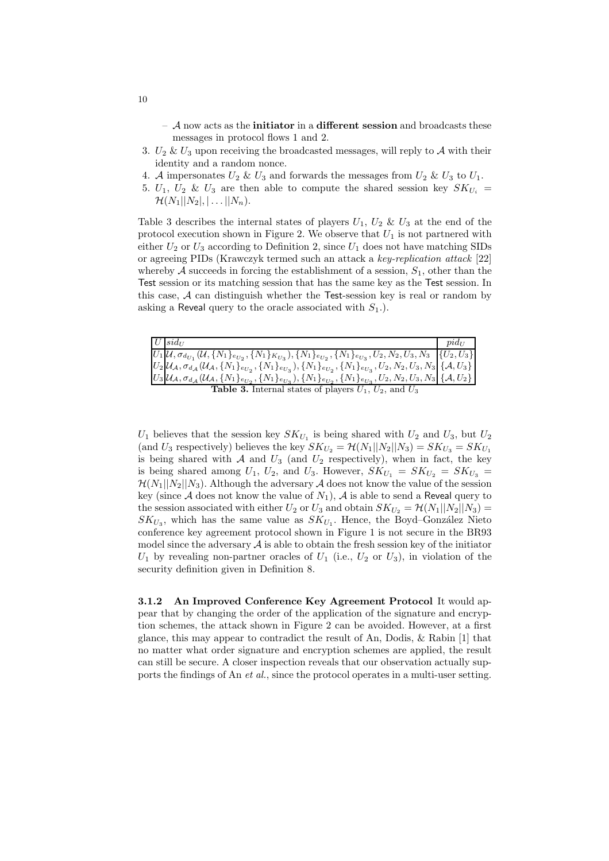- $-$  A now acts as the **initiator** in a **different session** and broadcasts these messages in protocol flows 1 and 2.
- 3.  $U_2 \& U_3$  upon receiving the broadcasted messages, will reply to A with their identity and a random nonce.
- 4. A impersonates  $U_2 \& U_3$  and forwards the messages from  $U_2 \& U_3$  to  $U_1$ .
- 5.  $U_1$ ,  $U_2$  &  $U_3$  are then able to compute the shared session key  $SK_{U_i}$  =  $\mathcal{H}(N_1||N_2|, \ldots ||N_n).$

Table 3 describes the internal states of players  $U_1$ ,  $U_2$  &  $U_3$  at the end of the protocol execution shown in Figure 2. We observe that  $U_1$  is not partnered with either  $U_2$  or  $U_3$  according to Definition 2, since  $U_1$  does not have matching SIDs or agreeing PIDs (Krawczyk termed such an attack a key-replication attack [22] whereby  $A$  succeeds in forcing the establishment of a session,  $S_1$ , other than the Test session or its matching session that has the same key as the Test session. In this case,  $A$  can distinguish whether the Test-session key is real or random by asking a Reveal query to the oracle associated with  $S_1$ .).

| $U$ sid <sub><math>U</math></sub>                                                                                                                                                        | $pid_U$ |
|------------------------------------------------------------------------------------------------------------------------------------------------------------------------------------------|---------|
| $ U_1  \mathcal{U}, \sigma_{d_{U_1}}(\mathcal{U}, \{N_1\}_{e_{U_2}}, \{N_1\}_{K_{U_3}}), \{N_1\}_{e_{U_2}}, \{N_1\}_{e_{U_3}}, U_2, N_2, U_3, N_3   \{U_2, U_3\} $                       |         |
| $U_2U_4$ , $\sigma_{d_{\mathcal{A}}}(\mathcal{U}_{\mathcal{A}}, \{N_1\}_{e_{U_2}}, \{N_1\}_{e_{U_3}}), \{N_1\}_{e_{U_2}}, \{N_1\}_{e_{U_3}}, U_2, N_2, U_3, N_3   \{\mathcal{A}, U_3\} $ |         |
| $U_3U_4$ , $\sigma_{dA}(U_A, \{N_1\}_{e_{U_2}}, \{N_1\}_{e_{U_3}}), \{N_1\}_{e_{U_2}}, \{N_1\}_{e_{U_3}}, U_2, N_2, U_3, N_3 \{\mathcal{A}, U_2\} $                                      |         |
| <b>Table 3.</b> Internal states of players $U_1$ , $U_2$ , and $U_3$                                                                                                                     |         |

 $U_1$  believes that the session key  $SK_{U_1}$  is being shared with  $U_2$  and  $U_3$ , but  $U_2$ (and  $U_3$  respectively) believes the key  $SK_{U_2} = \mathcal{H}(N_1||N_2||N_3) = SK_{U_3} = SK_{U_1}$ is being shared with  $A$  and  $U_3$  (and  $U_2$  respectively), when in fact, the key is being shared among  $U_1$ ,  $U_2$ , and  $U_3$ . However,  $SK_{U_1} = SK_{U_2} = SK_{U_3}$  $\mathcal{H}(N_1||N_2||N_3)$ . Although the adversary A does not know the value of the session key (since  $A$  does not know the value of  $N_1$ ),  $A$  is able to send a Reveal query to the session associated with either  $U_2$  or  $U_3$  and obtain  $SK_{U_2} = \mathcal{H}(N_1||N_2||N_3)$  =  $SK_{U_3}$ , which has the same value as  $SK_{U_1}$ . Hence, the Boyd-González Nieto conference key agreement protocol shown in Figure 1 is not secure in the BR93 model since the adversary  $A$  is able to obtain the fresh session key of the initiator  $U_1$  by revealing non-partner oracles of  $U_1$  (i.e.,  $U_2$  or  $U_3$ ), in violation of the security definition given in Definition 8.

3.1.2 An Improved Conference Key Agreement Protocol It would appear that by changing the order of the application of the signature and encryption schemes, the attack shown in Figure 2 can be avoided. However, at a first glance, this may appear to contradict the result of An, Dodis, & Rabin [1] that no matter what order signature and encryption schemes are applied, the result can still be secure. A closer inspection reveals that our observation actually supports the findings of An et al., since the protocol operates in a multi-user setting.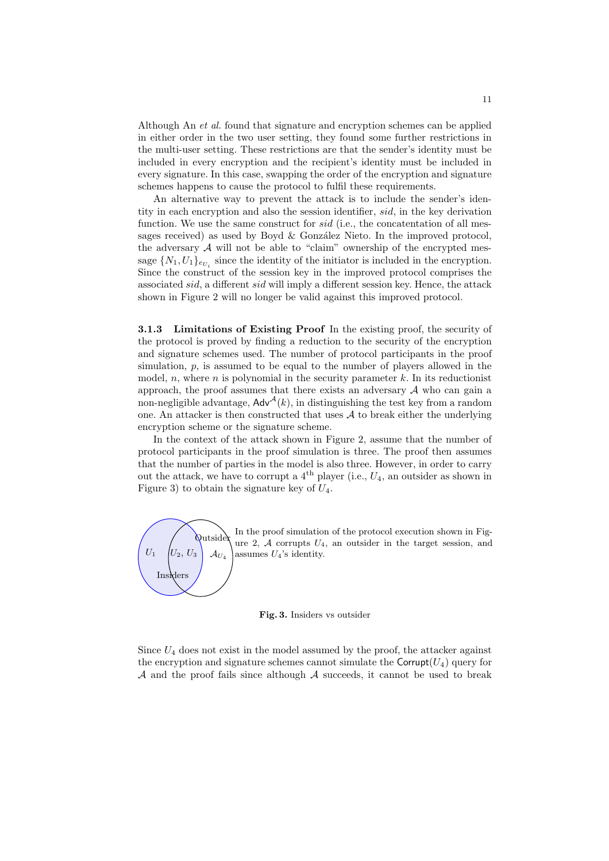Although An et al. found that signature and encryption schemes can be applied in either order in the two user setting, they found some further restrictions in the multi-user setting. These restrictions are that the sender's identity must be included in every encryption and the recipient's identity must be included in every signature. In this case, swapping the order of the encryption and signature schemes happens to cause the protocol to fulfil these requirements.

An alternative way to prevent the attack is to include the sender's identity in each encryption and also the session identifier, sid, in the key derivation function. We use the same construct for  $sid$  (i.e., the concatentation of all messages received) as used by Boyd  $&$  González Nieto. In the improved protocol, the adversary  $A$  will not be able to "claim" ownership of the encrypted message  $\{N_1, U_1\}_{e_{U_i}}$  since the identity of the initiator is included in the encryption. Since the construct of the session key in the improved protocol comprises the associated sid, a different sid will imply a different session key. Hence, the attack shown in Figure 2 will no longer be valid against this improved protocol.

3.1.3 Limitations of Existing Proof In the existing proof, the security of the protocol is proved by finding a reduction to the security of the encryption and signature schemes used. The number of protocol participants in the proof simulation,  $p$ , is assumed to be equal to the number of players allowed in the model, n, where n is polynomial in the security parameter k. In its reductionist approach, the proof assumes that there exists an adversary  $A$  who can gain a non-negligible advantage,  $\mathsf{Adv}^{\mathcal{A}}(k)$ , in distinguishing the test key from a random one. An attacker is then constructed that uses  $A$  to break either the underlying encryption scheme or the signature scheme.

In the context of the attack shown in Figure 2, assume that the number of protocol participants in the proof simulation is three. The proof then assumes that the number of parties in the model is also three. However, in order to carry out the attack, we have to corrupt a  $4^{\text{th}}$  player (i.e.,  $U_4$ , an outsider as shown in Figure 3) to obtain the signature key of  $U_4$ .



Fig. 3. Insiders vs outsider

Since  $U_4$  does not exist in the model assumed by the proof, the attacker against the encryption and signature schemes cannot simulate the Corrupt( $U_4$ ) query for  $\mathcal A$  and the proof fails since although  $\mathcal A$  succeeds, it cannot be used to break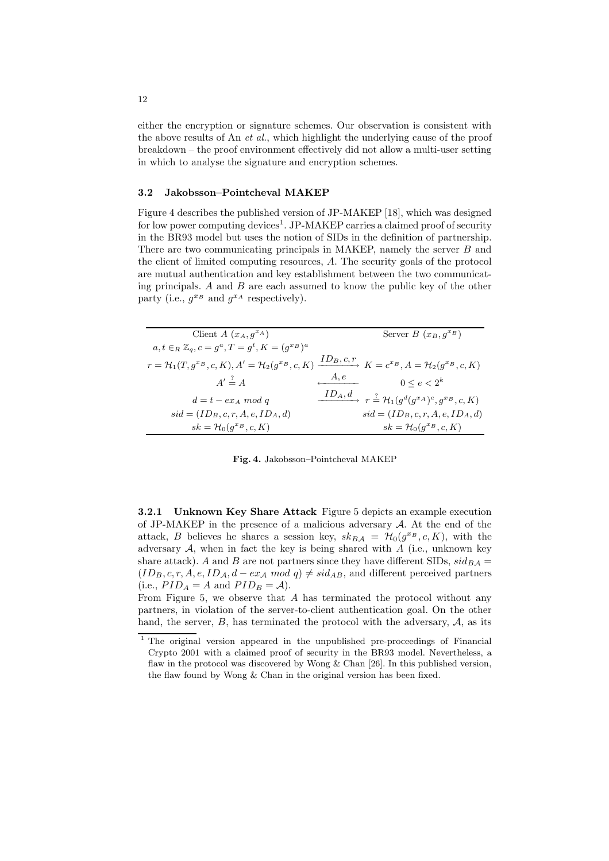either the encryption or signature schemes. Our observation is consistent with the above results of An et al., which highlight the underlying cause of the proof breakdown – the proof environment effectively did not allow a multi-user setting in which to analyse the signature and encryption schemes.

#### 3.2 Jakobsson–Pointcheval MAKEP

Figure 4 describes the published version of JP-MAKEP [18], which was designed for low power computing devices<sup>1</sup>. JP-MAKEP carries a claimed proof of security in the BR93 model but uses the notion of SIDs in the definition of partnership. There are two communicating principals in MAKEP, namely the server B and the client of limited computing resources, A. The security goals of the protocol are mutual authentication and key establishment between the two communicating principals. A and  $B$  are each assumed to know the public key of the other party (i.e.,  $g^{x_B}$  and  $g^{x_A}$  respectively).

| Client A $(x_A, q^{xA})$                                     | Server $B(x_B, g^{x_B})$                                                                                                                        |
|--------------------------------------------------------------|-------------------------------------------------------------------------------------------------------------------------------------------------|
| $a, t \in_R \mathbb{Z}_q, c = q^a, T = q^t, K = (q^{x_B})^a$ |                                                                                                                                                 |
|                                                              | $r = \mathcal{H}_1(T, g^{x_B}, c, K), A' = \mathcal{H}_2(g^{x_B}, c, K) \xrightarrow{ID_B, c, r} K = c^{x_B}, A = \mathcal{H}_2(g^{x_B}, c, K)$ |
| $A' \stackrel{?}{=} A$                                       | A,e<br>$0 \le e \le 2^k$                                                                                                                        |
| $d = t - e x_A \mod q$                                       | $\underline{ID_A, d}$ $r \stackrel{?}{=} \mathcal{H}_1(g^d(g^{x_A})^e, g^{x_B}, c, K)$                                                          |
| $sid = (ID_B, c, r, A, e, ID_A, d)$                          | $sid = (ID_B, c, r, A, e, ID_A, d)$                                                                                                             |
| $sk = \mathcal{H}_0(q^{x_B}, c, K)$                          | $sk = \mathcal{H}_0(q^{x_B}, c, K)$                                                                                                             |

Fig. 4. Jakobsson–Pointcheval MAKEP

3.2.1 Unknown Key Share Attack Figure 5 depicts an example execution of JP-MAKEP in the presence of a malicious adversary  $A$ . At the end of the attack, B believes he shares a session key,  $sk_{BA} = \mathcal{H}_0(g^{x_B}, c, K)$ , with the adversary  $A$ , when in fact the key is being shared with  $A$  (i.e., unknown key share attack). A and B are not partners since they have different SIDs,  $sid_{BA} =$  $(ID_B, c, r, A, e, ID_A, d - ex_A \mod q) \neq sid_{AB}$ , and different perceived partners (i.e.,  $PID_A = A$  and  $PID_B = A$ ).

From Figure 5, we observe that A has terminated the protocol without any partners, in violation of the server-to-client authentication goal. On the other hand, the server,  $B$ , has terminated the protocol with the adversary,  $A$ , as its

<sup>&</sup>lt;sup>1</sup> The original version appeared in the unpublished pre-proceedings of Financial Crypto 2001 with a claimed proof of security in the BR93 model. Nevertheless, a flaw in the protocol was discovered by Wong & Chan [26]. In this published version, the flaw found by Wong & Chan in the original version has been fixed.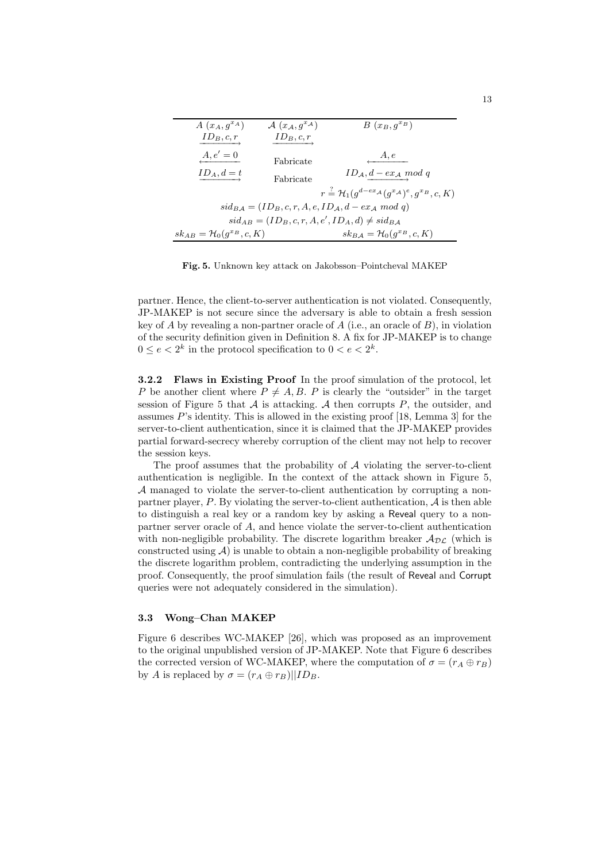| $A(x_A, q^{xA})$                         | $\mathcal{A}(x_{\mathcal{A}}, q^{x_{\mathcal{A}}})$ | $B(x_B, q^{x_B})$                                                                             |
|------------------------------------------|-----------------------------------------------------|-----------------------------------------------------------------------------------------------|
| $ID_B, c, r$                             | $ID_B, c, r$                                        |                                                                                               |
| $A, e' = 0$                              | Fabricate                                           | A,e                                                                                           |
| $ID_A, d = t$                            | Fabricate                                           | $ID_{A}, d - ex_{A} \text{ mod } q$                                                           |
|                                          |                                                     | $r = \mathcal{H}_1(q^{d-ex_{\mathcal{A}}}(q^{x_{\mathcal{A}}})^e, q^{x_{\mathcal{B}}}, c, K)$ |
|                                          |                                                     | $sid_{BA} = (ID_B, c, r, A, e, ID_A, d - ex_A \mod q)$                                        |
|                                          |                                                     | $sid_{AB} = (ID_B, c, r, A, e', ID_A, d) \neq sid_{BA}$                                       |
| $sk_{AB} = \mathcal{H}_0(g^{x_B}, c, K)$ |                                                     | $sk_{BA} = \mathcal{H}_0(q^{x_B}, c, K)$                                                      |

Fig. 5. Unknown key attack on Jakobsson–Pointcheval MAKEP

partner. Hence, the client-to-server authentication is not violated. Consequently, JP-MAKEP is not secure since the adversary is able to obtain a fresh session key of A by revealing a non-partner oracle of  $A$  (i.e., an oracle of  $B$ ), in violation of the security definition given in Definition 8. A fix for JP-MAKEP is to change  $0 \le e < 2^k$  in the protocol specification to  $0 < e < 2^k$ .

3.2.2 Flaws in Existing Proof In the proof simulation of the protocol, let P be another client where  $P \neq A, B$ . P is clearly the "outsider" in the target session of Figure 5 that  $A$  is attacking.  $A$  then corrupts  $P$ , the outsider, and assumes P's identity. This is allowed in the existing proof [18, Lemma 3] for the server-to-client authentication, since it is claimed that the JP-MAKEP provides partial forward-secrecy whereby corruption of the client may not help to recover the session keys.

The proof assumes that the probability of  $A$  violating the server-to-client authentication is negligible. In the context of the attack shown in Figure 5, A managed to violate the server-to-client authentication by corrupting a nonpartner player,  $P$ . By violating the server-to-client authentication,  $A$  is then able to distinguish a real key or a random key by asking a Reveal query to a nonpartner server oracle of A, and hence violate the server-to-client authentication with non-negligible probability. The discrete logarithm breaker  $A_{\mathcal{DL}}$  (which is constructed using  $A$ ) is unable to obtain a non-negligible probability of breaking the discrete logarithm problem, contradicting the underlying assumption in the proof. Consequently, the proof simulation fails (the result of Reveal and Corrupt queries were not adequately considered in the simulation).

#### 3.3 Wong–Chan MAKEP

Figure 6 describes WC-MAKEP [26], which was proposed as an improvement to the original unpublished version of JP-MAKEP. Note that Figure 6 describes the corrected version of WC-MAKEP, where the computation of  $\sigma = (r_A \oplus r_B)$ by A is replaced by  $\sigma = (r_A \oplus r_B)||ID_B$ .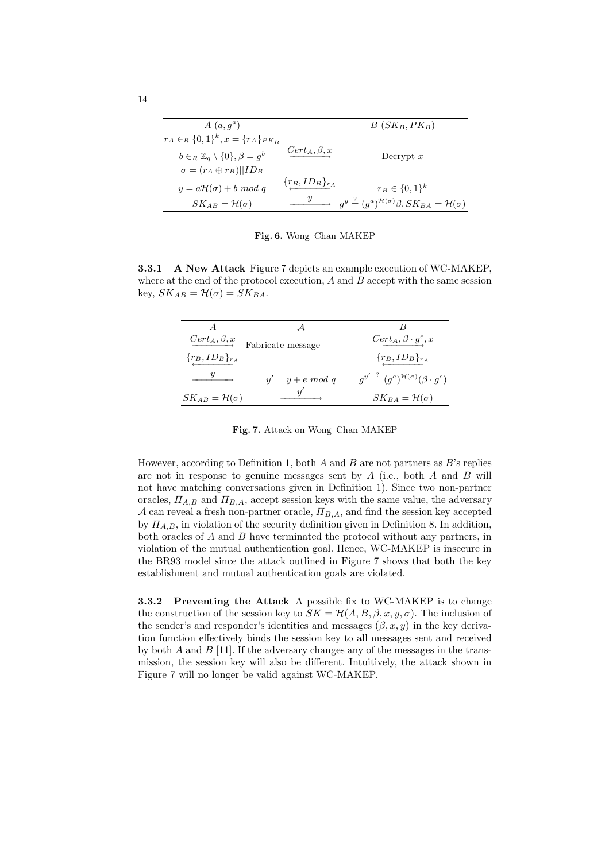| $A(a,q^a)$                                          |                     | $B(SK_B, PK_B)$                                                                           |
|-----------------------------------------------------|---------------------|-------------------------------------------------------------------------------------------|
| $r_A \in_R \{0,1\}^k, x = \{r_A\}_{PK_B}$           |                     |                                                                                           |
| $b \in_R \mathbb{Z}_q \setminus \{0\}, \beta = g^b$ | $Cert_A, \beta, x$  | Decrypt $x$                                                                               |
| $\sigma = (r_A \oplus r_B)  ID_B$                   |                     |                                                                                           |
| $y = a\mathcal{H}(\sigma) + b \mod q$               | ${r_B, ID_B}_{r_A}$ | $r_B \in \{0,1\}^k$                                                                       |
| $SK_{AB} = \mathcal{H}(\sigma)$                     |                     | $q^y \stackrel{?}{=} (q^a)^{\mathcal{H}(\sigma)} \beta$ , $SK_{BA} = \mathcal{H}(\sigma)$ |

Fig. 6. Wong–Chan MAKEP

3.3.1 A New Attack Figure 7 depicts an example execution of WC-MAKEP, where at the end of the protocol execution,  $A$  and  $B$  accept with the same session key,  $SK_{AB} = \mathcal{H}(\sigma) = SK_{BA}$ .

| $Cert_A, \beta, x$              | Fabricate message   | $Cert_A, \beta \cdot g^e, x$                                          |
|---------------------------------|---------------------|-----------------------------------------------------------------------|
| ${r_B, ID_B\}_{r_A}$            |                     | ${r_B, ID_B}_{r_A}$                                                   |
|                                 | $y' = y + e \mod q$ | $q^{y'} \stackrel{?}{=} (q^a)^{\mathcal{H}(\sigma)}(\beta \cdot g^e)$ |
| $SK_{AB} = \mathcal{H}(\sigma)$ |                     | $SK_{BA} = \mathcal{H}(\sigma)$                                       |

Fig. 7. Attack on Wong–Chan MAKEP

However, according to Definition 1, both  $A$  and  $B$  are not partners as  $B$ 's replies are not in response to genuine messages sent by  $A$  (i.e., both  $A$  and  $B$  will not have matching conversations given in Definition 1). Since two non-partner oracles,  $\Pi_{A,B}$  and  $\Pi_{B,A}$ , accept session keys with the same value, the adversary A can reveal a fresh non-partner oracle,  $\Pi_{B,A}$ , and find the session key accepted by  $\Pi_{A,B}$ , in violation of the security definition given in Definition 8. In addition, both oracles of  $A$  and  $B$  have terminated the protocol without any partners, in violation of the mutual authentication goal. Hence, WC-MAKEP is insecure in the BR93 model since the attack outlined in Figure 7 shows that both the key establishment and mutual authentication goals are violated.

**3.3.2 Preventing the Attack** A possible fix to WC-MAKEP is to change the construction of the session key to  $SK = \mathcal{H}(A, B, \beta, x, y, \sigma)$ . The inclusion of the sender's and responder's identities and messages  $(\beta, x, y)$  in the key derivation function effectively binds the session key to all messages sent and received by both A and B [11]. If the adversary changes any of the messages in the transmission, the session key will also be different. Intuitively, the attack shown in Figure 7 will no longer be valid against WC-MAKEP.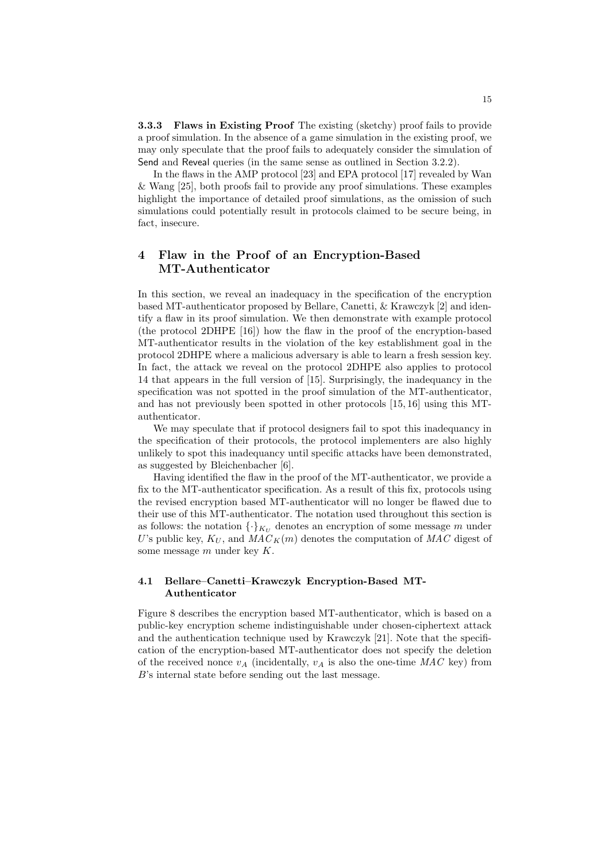**3.3.3 Flaws in Existing Proof** The existing (sketchy) proof fails to provide a proof simulation. In the absence of a game simulation in the existing proof, we may only speculate that the proof fails to adequately consider the simulation of Send and Reveal queries (in the same sense as outlined in Section 3.2.2).

In the flaws in the AMP protocol [23] and EPA protocol [17] revealed by Wan & Wang [25], both proofs fail to provide any proof simulations. These examples highlight the importance of detailed proof simulations, as the omission of such simulations could potentially result in protocols claimed to be secure being, in fact, insecure.

# 4 Flaw in the Proof of an Encryption-Based MT-Authenticator

In this section, we reveal an inadequacy in the specification of the encryption based MT-authenticator proposed by Bellare, Canetti, & Krawczyk [2] and identify a flaw in its proof simulation. We then demonstrate with example protocol (the protocol 2DHPE [16]) how the flaw in the proof of the encryption-based MT-authenticator results in the violation of the key establishment goal in the protocol 2DHPE where a malicious adversary is able to learn a fresh session key. In fact, the attack we reveal on the protocol 2DHPE also applies to protocol 14 that appears in the full version of [15]. Surprisingly, the inadequancy in the specification was not spotted in the proof simulation of the MT-authenticator, and has not previously been spotted in other protocols [15, 16] using this MTauthenticator.

We may speculate that if protocol designers fail to spot this inadequancy in the specification of their protocols, the protocol implementers are also highly unlikely to spot this inadequancy until specific attacks have been demonstrated, as suggested by Bleichenbacher [6].

Having identified the flaw in the proof of the MT-authenticator, we provide a fix to the MT-authenticator specification. As a result of this fix, protocols using the revised encryption based MT-authenticator will no longer be flawed due to their use of this MT-authenticator. The notation used throughout this section is as follows: the notation  $\{\cdot\}_{K_U}$  denotes an encryption of some message m under U's public key,  $K_U$ , and  $MAC_K(m)$  denotes the computation of MAC digest of some message  $m$  under key  $K$ .

#### 4.1 Bellare–Canetti–Krawczyk Encryption-Based MT-Authenticator

Figure 8 describes the encryption based MT-authenticator, which is based on a public-key encryption scheme indistinguishable under chosen-ciphertext attack and the authentication technique used by Krawczyk [21]. Note that the specification of the encryption-based MT-authenticator does not specify the deletion of the received nonce  $v_A$  (incidentally,  $v_A$  is also the one-time MAC key) from B's internal state before sending out the last message.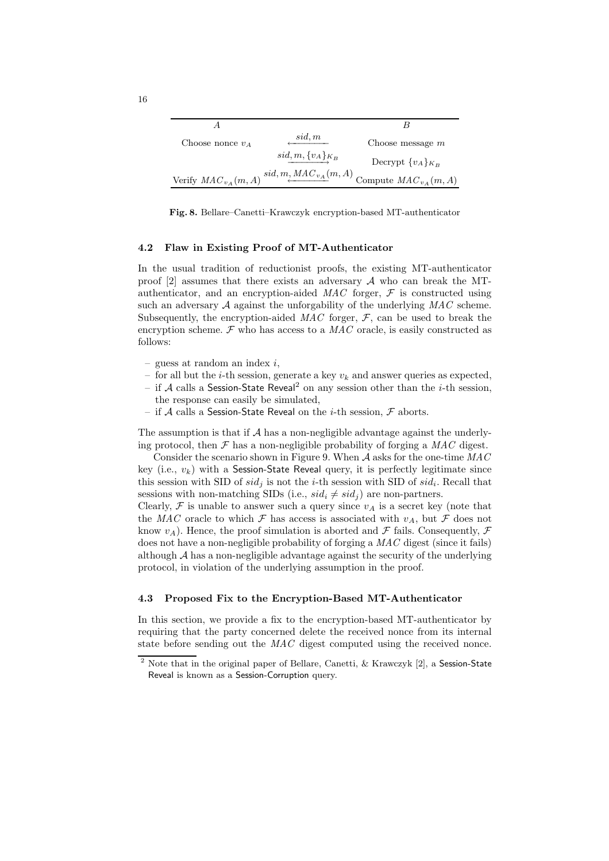| Choose nonce $v_A$       | sid, m                  | Choose message $m$                                                |
|--------------------------|-------------------------|-------------------------------------------------------------------|
|                          | $sid, m, \{v_A\}_{K_B}$ | Decrypt $\{v_A\}_{K_P}$                                           |
| Verify $MAC_{v_A}(m, A)$ |                         | $\overline{C}$ id, $m, MAC_{v_A}(m, A)$ Compute $MAC_{v_A}(m, A)$ |

Fig. 8. Bellare–Canetti–Krawczyk encryption-based MT-authenticator

#### 4.2 Flaw in Existing Proof of MT-Authenticator

In the usual tradition of reductionist proofs, the existing MT-authenticator proof [2] assumes that there exists an adversary  $A$  who can break the MTauthenticator, and an encryption-aided  $MAC$  forger,  $\mathcal F$  is constructed using such an adversary  $A$  against the unforgability of the underlying  $MAC$  scheme. Subsequently, the encryption-aided  $MAC$  forger,  $F$ , can be used to break the encryption scheme.  $\mathcal F$  who has access to a  $MAC$  oracle, is easily constructed as follows:

- guess at random an index  $i$ ,
- for all but the *i*-th session, generate a key  $v_k$  and answer queries as expected,
- if A calls a Session-State Reveal<sup>2</sup> on any session other than the *i*-th session, the response can easily be simulated,
- if  $A$  calls a Session-State Reveal on the *i*-th session,  $\mathcal F$  aborts.

The assumption is that if  $A$  has a non-negligible advantage against the underlying protocol, then  $\mathcal F$  has a non-negligible probability of forging a MAC digest.

Consider the scenario shown in Figure 9. When  $A$  asks for the one-time  $MAC$ key (i.e.,  $v_k$ ) with a Session-State Reveal query, it is perfectly legitimate since this session with SID of  $sid_j$  is not the *i*-th session with SID of  $sid_i$ . Recall that sessions with non-matching SIDs (i.e.,  $sid_i \neq sid_j$ ) are non-partners.

Clearly,  $\mathcal F$  is unable to answer such a query since  $v_A$  is a secret key (note that the MAC oracle to which  $\mathcal F$  has access is associated with  $v_A$ , but  $\mathcal F$  does not know  $v_A$ ). Hence, the proof simulation is aborted and  $\mathcal F$  fails. Consequently,  $\mathcal F$ does not have a non-negligible probability of forging a MAC digest (since it fails) although A has a non-negligible advantage against the security of the underlying protocol, in violation of the underlying assumption in the proof.

#### 4.3 Proposed Fix to the Encryption-Based MT-Authenticator

In this section, we provide a fix to the encryption-based MT-authenticator by requiring that the party concerned delete the received nonce from its internal state before sending out the MAC digest computed using the received nonce.

<sup>&</sup>lt;sup>2</sup> Note that in the original paper of Bellare, Canetti, & Krawczyk [2], a Session-State Reveal is known as a Session-Corruption query.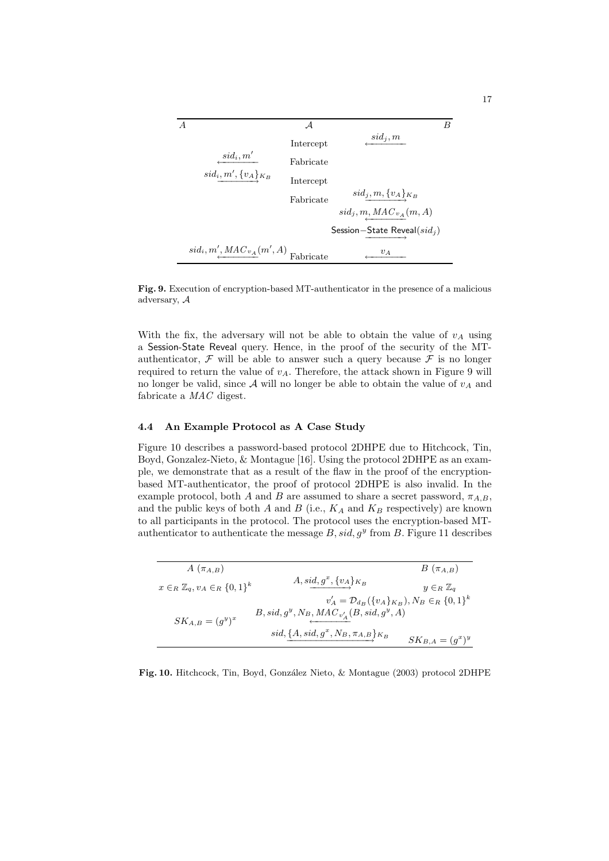|                                               | А         |                                | B |
|-----------------------------------------------|-----------|--------------------------------|---|
|                                               | Intercept | $sid_j, m$                     |   |
| $sid_i, m'$                                   | Fabricate |                                |   |
| $sid_i, m', \{v_A\}_{K_B}$                    | Intercept |                                |   |
|                                               | Fabricate | $sid_j, m, \{v_A\}_{K_B}$      |   |
|                                               |           | $sid_j, m, MAC_{v_A}(m, A)$    |   |
|                                               |           | Session—State Reveal $(sid_j)$ |   |
| $sid_i, m'_\cdot, MAC_{v_A}(m', A)$ Fabricate |           | $v_A$                          |   |

Fig. 9. Execution of encryption-based MT-authenticator in the presence of a malicious adversary, A

With the fix, the adversary will not be able to obtain the value of  $v_A$  using a Session-State Reveal query. Hence, in the proof of the security of the MTauthenticator,  $\mathcal F$  will be able to answer such a query because  $\mathcal F$  is no longer required to return the value of  $v_A$ . Therefore, the attack shown in Figure 9 will no longer be valid, since  $A$  will no longer be able to obtain the value of  $v_A$  and fabricate a  $MAC$  digest.

#### 4.4 An Example Protocol as A Case Study

Figure 10 describes a password-based protocol 2DHPE due to Hitchcock, Tin, Boyd, Gonzalez-Nieto, & Montague [16]. Using the protocol 2DHPE as an example, we demonstrate that as a result of the flaw in the proof of the encryptionbased MT-authenticator, the proof of protocol 2DHPE is also invalid. In the example protocol, both A and B are assumed to share a secret password,  $\pi_{A,B}$ , and the public keys of both  $A$  and  $B$  (i.e.,  $K_A$  and  $K_B$  respectively) are known to all participants in the protocol. The protocol uses the encryption-based MTauthenticator to authenticate the message  $B$ ,  $sid$ ,  $g<sup>y</sup>$  from  $B$ . Figure 11 describes

| $A(\pi_{A,B})$                              |                                            | $B(\pi_{A,B})$                                                 |
|---------------------------------------------|--------------------------------------------|----------------------------------------------------------------|
| $x \in_R \mathbb{Z}_q, v_A \in_R \{0,1\}^k$ | $A, sid, g^x, \{v_A\}_{K_B}$               | $y \in_R \mathbb{Z}_q$                                         |
|                                             |                                            | $v'_A = \mathcal{D}_{d_B}(\{v_A\}_{K_B}), N_B \in_R \{0,1\}^k$ |
| $SK_{A,B} = (g^y)^x$                        | $B, sid, gy, NB, MACv'A(B, sid, gy, A)$    |                                                                |
|                                             | $sid, {A, sid, g^x, N_B, \pi_{A,B}}_{K_B}$ | $SK_{B,A} = (q^x)^y$                                           |

Fig. 10. Hitchcock, Tin, Boyd, González Nieto, & Montague (2003) protocol 2DHPE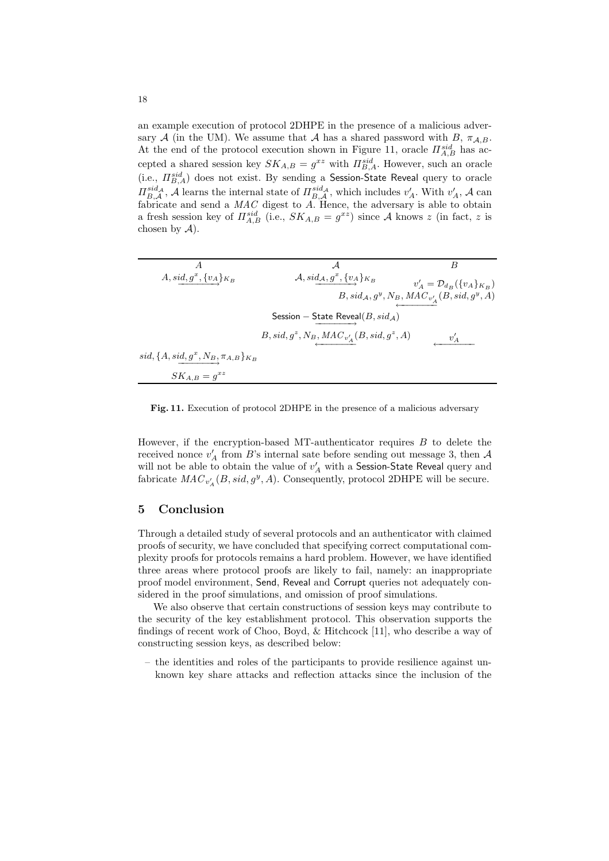an example execution of protocol 2DHPE in the presence of a malicious adversary A (in the UM). We assume that A has a shared password with B,  $\pi_{A,B}$ . At the end of the protocol execution shown in Figure 11, oracle  $\Pi_{A,B}^{sid}$  has accepted a shared session key  $SK_{A,B} = g^{xz}$  with  $\prod_{B,A}^{sid}$ . However, such an oracle (i.e.,  $\Pi_{B,A}^{sid}$ ) does not exist. By sending a Session-State Reveal query to oracle  $\Pi_{B,\mathcal{A}}^{sid}_{\mathcal{A}}, \mathcal{A}$  learns the internal state of  $\Pi_{B,\mathcal{A}}^{sid}_{\mathcal{A}},$  which includes  $v'_A$ . With  $v'_A$ ,  $\mathcal{A}$  can fabricate and send a  $MAC$  digest to  $A$ . Hence, the adversary is able to obtain a fresh session key of  $\Pi_{A,B}^{sid}$  (i.e.,  $SK_{A,B} = g^{xz}$ ) since A knows z (in fact, z is chosen by  $A$ ).

| $A, sid, g^x, \{v_A\}_{K_B}$                 | $A, sid_A, g^x, \{v_A\}_{K_B}$                 | $v'_A = \mathcal{D}_{d_B}(\{v_A\}_{K_B})$                    |
|----------------------------------------------|------------------------------------------------|--------------------------------------------------------------|
|                                              |                                                | $B, sid_{\mathcal{A}}, g^y, N_B, MAC_{v'_A}(B, sid, g^y, A)$ |
|                                              | Session - State Reveal $(B,sid_{\mathcal{A}})$ |                                                              |
|                                              | $B, sid, g^z, N_B, MAC_{v'_A}(B, sid, g^z, A)$ | $v_A$                                                        |
| $sid, \{A, sid, g^x, N_B, \pi_{A,B}\}_{K_B}$ |                                                |                                                              |
| $SK_{A,B}=g^{xz}$                            |                                                |                                                              |

Fig. 11. Execution of protocol 2DHPE in the presence of a malicious adversary

However, if the encryption-based MT-authenticator requires  $B$  to delete the received nonce  $v'_A$  from B's internal sate before sending out message 3, then A will not be able to obtain the value of  $v'_A$  with a Session-State Reveal query and fabricate  $MAC_{v'_A}(B, sid, g^y, A)$ . Consequently, protocol 2DHPE will be secure.

### 5 Conclusion

Through a detailed study of several protocols and an authenticator with claimed proofs of security, we have concluded that specifying correct computational complexity proofs for protocols remains a hard problem. However, we have identified three areas where protocol proofs are likely to fail, namely: an inappropriate proof model environment, Send, Reveal and Corrupt queries not adequately considered in the proof simulations, and omission of proof simulations.

We also observe that certain constructions of session keys may contribute to the security of the key establishment protocol. This observation supports the findings of recent work of Choo, Boyd, & Hitchcock [11], who describe a way of constructing session keys, as described below:

– the identities and roles of the participants to provide resilience against unknown key share attacks and reflection attacks since the inclusion of the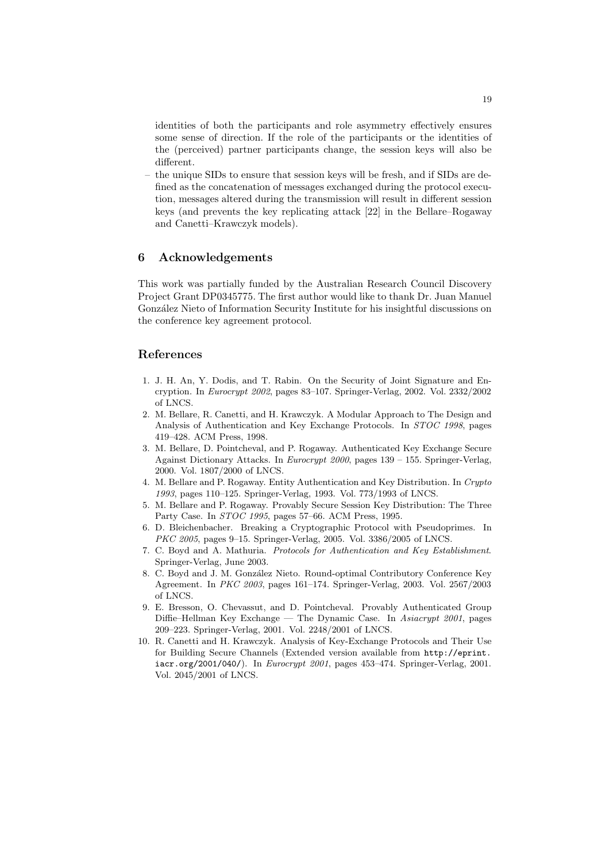identities of both the participants and role asymmetry effectively ensures some sense of direction. If the role of the participants or the identities of the (perceived) partner participants change, the session keys will also be different.

– the unique SIDs to ensure that session keys will be fresh, and if SIDs are defined as the concatenation of messages exchanged during the protocol execution, messages altered during the transmission will result in different session keys (and prevents the key replicating attack [22] in the Bellare–Rogaway and Canetti–Krawczyk models).

# 6 Acknowledgements

This work was partially funded by the Australian Research Council Discovery Project Grant DP0345775. The first author would like to thank Dr. Juan Manuel González Nieto of Information Security Institute for his insightful discussions on the conference key agreement protocol.

# References

- 1. J. H. An, Y. Dodis, and T. Rabin. On the Security of Joint Signature and Encryption. In Eurocrypt 2002, pages 83–107. Springer-Verlag, 2002. Vol. 2332/2002 of LNCS.
- 2. M. Bellare, R. Canetti, and H. Krawczyk. A Modular Approach to The Design and Analysis of Authentication and Key Exchange Protocols. In STOC 1998, pages 419–428. ACM Press, 1998.
- 3. M. Bellare, D. Pointcheval, and P. Rogaway. Authenticated Key Exchange Secure Against Dictionary Attacks. In Eurocrypt 2000, pages 139 – 155. Springer-Verlag, 2000. Vol. 1807/2000 of LNCS.
- 4. M. Bellare and P. Rogaway. Entity Authentication and Key Distribution. In Crypto 1993, pages 110–125. Springer-Verlag, 1993. Vol. 773/1993 of LNCS.
- 5. M. Bellare and P. Rogaway. Provably Secure Session Key Distribution: The Three Party Case. In STOC 1995, pages 57–66. ACM Press, 1995.
- 6. D. Bleichenbacher. Breaking a Cryptographic Protocol with Pseudoprimes. In PKC 2005, pages 9–15. Springer-Verlag, 2005. Vol. 3386/2005 of LNCS.
- 7. C. Boyd and A. Mathuria. Protocols for Authentication and Key Establishment. Springer-Verlag, June 2003.
- 8. C. Boyd and J. M. González Nieto. Round-optimal Contributory Conference Key Agreement. In PKC 2003, pages 161–174. Springer-Verlag, 2003. Vol. 2567/2003 of LNCS.
- 9. E. Bresson, O. Chevassut, and D. Pointcheval. Provably Authenticated Group Diffie–Hellman Key Exchange — The Dynamic Case. In Asiacrypt 2001, pages 209–223. Springer-Verlag, 2001. Vol. 2248/2001 of LNCS.
- 10. R. Canetti and H. Krawczyk. Analysis of Key-Exchange Protocols and Their Use for Building Secure Channels (Extended version available from http://eprint. iacr.org/2001/040/). In Eurocrypt 2001, pages 453–474. Springer-Verlag, 2001. Vol. 2045/2001 of LNCS.